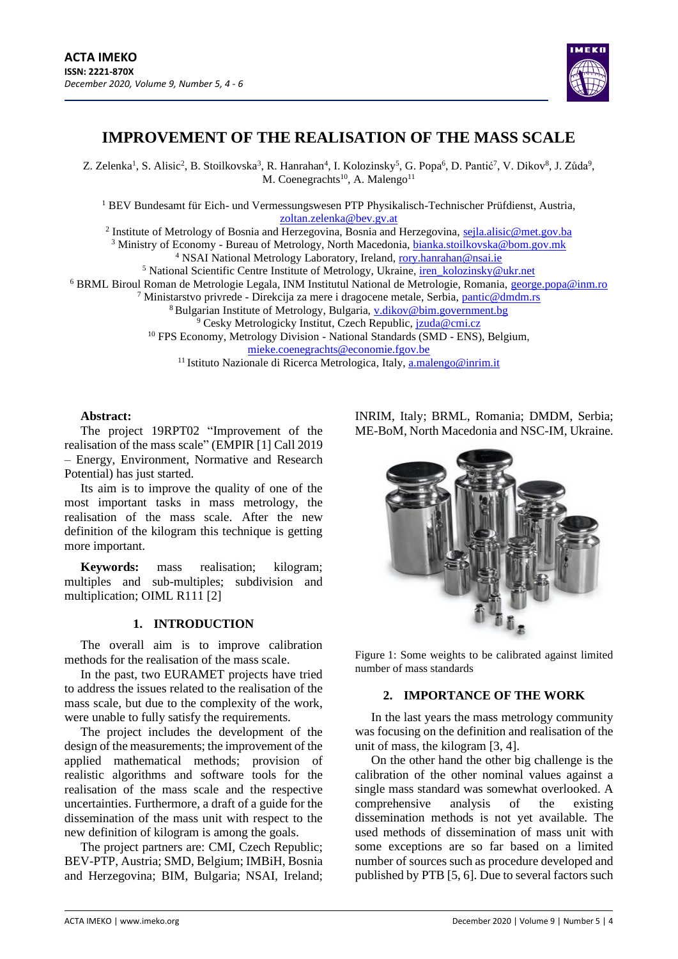

# **IMPROVEMENT OF THE REALISATION OF THE MASS SCALE**

Z. Zelenka<sup>1</sup>, S. Alisic<sup>2</sup>, B. Stoilkovska<sup>3</sup>, R. Hanrahan<sup>4</sup>, I. Kolozinsky<sup>5</sup>, G. Popa<sup>6</sup>, D. Pantić<sup>7</sup>, V. Dikov<sup>8</sup>, J. Zůda<sup>9</sup>, M. Coenegrachts<sup>10</sup>, A. Malengo<sup>11</sup>

<sup>1</sup> BEV Bundesamt für Eich- und Vermessungswesen PTP Physikalisch-Technischer Prüfdienst, Austria, [zoltan.zelenka@bev.gv.at](mailto:zoltan.zelenka@bev.gv.at)

<sup>2</sup> Institute of Metrology of Bosnia and Herzegovina, Bosnia and Herzegovina, <u>sejla.alisic@met.gov.ba</u> <sup>3</sup> Ministry of Economy - Bureau of Metrology, North Macedonia, **bianka.stoilkovska@bom.gov.mk** 

<sup>4</sup> NSAI National Metrology Laboratory, Ireland, [rory.hanrahan@nsai.ie](mailto:rory.hanrahan@nsai.ie)

<sup>5</sup> National Scientific Centre Institute of Metrology, Ukraine, [iren\\_kolozinsky@ukr.net](mailto:iren_kolozinsky@ukr.net)

<sup>6</sup> BRML Biroul Roman de Metrologie Legala, INM Institutul National de Metrologie, Romania, [george.popa@inm.ro](mailto:george.popa@inm.ro)

<sup>7</sup> Ministarstvo privrede - Direkcija za mere i dragocene metale, Serbia, [pantic@dmdm.rs](mailto:pantic@dmdm.rs)

<sup>8</sup>Bulgarian Institute of Metrology, Bulgaria, [v.dikov@bim.government.bg](mailto:v.dikov@bim.government.bg)

<sup>9</sup> Cesky Metrologicky Institut, Czech Republic, *jzuda@cmi.cz* 

<sup>10</sup> FPS Economy, Metrology Division - National Standards (SMD - ENS), Belgium,

[mieke.coenegrachts@economie.fgov.be](mailto:mieke.coenegrachts@economie.fgov.be)

<sup>11</sup> Istituto Nazionale di Ricerca Metrologica, Italy, [a.malengo@inrim.it](mailto:a.malengo@inrim.it)

#### **Abstract:**

The project 19RPT02 "Improvement of the realisation of the mass scale" (EMPIR [1] Call 2019 – Energy, Environment, Normative and Research Potential) has just started.

Its aim is to improve the quality of one of the most important tasks in mass metrology, the realisation of the mass scale. After the new definition of the kilogram this technique is getting more important.

**Keywords:** mass realisation; kilogram; multiples and sub-multiples; subdivision and multiplication; OIML R111 [2]

### **1. INTRODUCTION**

The overall aim is to improve calibration methods for the realisation of the mass scale.

In the past, two EURAMET projects have tried to address the issues related to the realisation of the mass scale, but due to the complexity of the work, were unable to fully satisfy the requirements.

The project includes the development of the design of the measurements; the improvement of the applied mathematical methods; provision of realistic algorithms and software tools for the realisation of the mass scale and the respective uncertainties. Furthermore, a draft of a guide for the dissemination of the mass unit with respect to the new definition of kilogram is among the goals.

The project partners are: CMI, Czech Republic; BEV-PTP, Austria; SMD, Belgium; IMBiH, Bosnia and Herzegovina; BIM, Bulgaria; NSAI, Ireland; INRIM, Italy; BRML, Romania; DMDM, Serbia; ME-BoM, North Macedonia and NSC-IM, Ukraine.



Figure 1: Some weights to be calibrated against limited number of mass standards

### **2. IMPORTANCE OF THE WORK**

In the last years the mass metrology community was focusing on the definition and realisation of the unit of mass, the kilogram [3, 4].

On the other hand the other big challenge is the calibration of the other nominal values against a single mass standard was somewhat overlooked. A comprehensive analysis of the existing dissemination methods is not yet available. The used methods of dissemination of mass unit with some exceptions are so far based on a limited number of sources such as procedure developed and published by PTB [5, 6]. Due to several factors such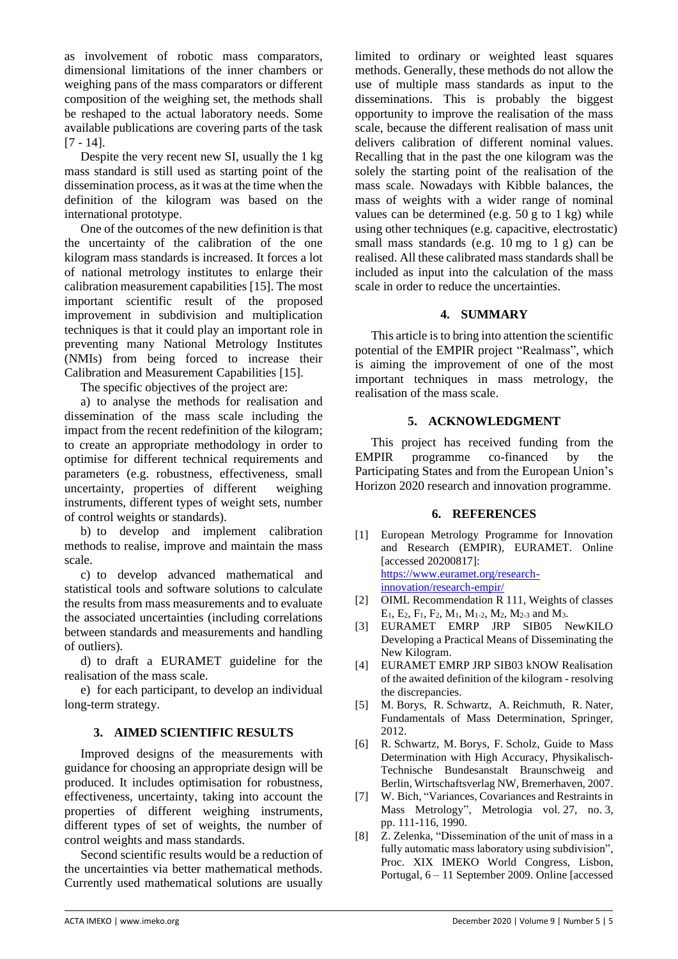as involvement of robotic mass comparators, dimensional limitations of the inner chambers or weighing pans of the mass comparators or different composition of the weighing set, the methods shall be reshaped to the actual laboratory needs. Some available publications are covering parts of the task [7 - 14].

Despite the very recent new SI, usually the 1 kg mass standard is still used as starting point of the dissemination process, as it was at the time when the definition of the kilogram was based on the international prototype.

One of the outcomes of the new definition is that the uncertainty of the calibration of the one kilogram mass standards is increased. It forces a lot of national metrology institutes to enlarge their calibration measurement capabilities [15]. The most important scientific result of the proposed improvement in subdivision and multiplication techniques is that it could play an important role in preventing many National Metrology Institutes (NMIs) from being forced to increase their Calibration and Measurement Capabilities [15].

The specific objectives of the project are:

a) to analyse the methods for realisation and dissemination of the mass scale including the impact from the recent redefinition of the kilogram; to create an appropriate methodology in order to optimise for different technical requirements and parameters (e.g. robustness, effectiveness, small uncertainty, properties of different weighing instruments, different types of weight sets, number of control weights or standards).

b) to develop and implement calibration methods to realise, improve and maintain the mass scale.

c) to develop advanced mathematical and statistical tools and software solutions to calculate the results from mass measurements and to evaluate the associated uncertainties (including correlations between standards and measurements and handling of outliers).

d) to draft a EURAMET guideline for the realisation of the mass scale.

e) for each participant, to develop an individual long-term strategy.

### **3. AIMED SCIENTIFIC RESULTS**

Improved designs of the measurements with guidance for choosing an appropriate design will be produced. It includes optimisation for robustness, effectiveness, uncertainty, taking into account the properties of different weighing instruments, different types of set of weights, the number of control weights and mass standards.

Second scientific results would be a reduction of the uncertainties via better mathematical methods. Currently used mathematical solutions are usually limited to ordinary or weighted least squares methods. Generally, these methods do not allow the use of multiple mass standards as input to the disseminations. This is probably the biggest opportunity to improve the realisation of the mass scale, because the different realisation of mass unit delivers calibration of different nominal values. Recalling that in the past the one kilogram was the solely the starting point of the realisation of the mass scale. Nowadays with Kibble balances, the mass of weights with a wider range of nominal values can be determined (e.g. 50 g to 1 kg) while using other techniques (e.g. capacitive, electrostatic) small mass standards (e.g. 10 mg to 1 g) can be realised. All these calibrated mass standards shall be included as input into the calculation of the mass scale in order to reduce the uncertainties.

## **4. SUMMARY**

This article is to bring into attention the scientific potential of the EMPIR project "Realmass", which is aiming the improvement of one of the most important techniques in mass metrology, the realisation of the mass scale.

## **5. ACKNOWLEDGMENT**

This project has received funding from the EMPIR programme co-financed by the Participating States and from the European Union's Horizon 2020 research and innovation programme.

### **6. REFERENCES**

- [1] European Metrology Programme for Innovation and Research (EMPIR), EURAMET. Online [accessed 20200817]: [https://www.euramet.org/research](https://www.euramet.org/research-innovation/research-empir/)[innovation/research-empir/](https://www.euramet.org/research-innovation/research-empir/)
- [2] OIML Recommendation R 111, Weights of classes  $E_1$ ,  $E_2$ ,  $F_1$ ,  $F_2$ ,  $M_1$ ,  $M_1$ <sub>-2</sub>,  $M_2$ ,  $M_2$ <sub>-3</sub> and  $M_3$ .
- [3] EURAMET EMRP JRP SIB05 NewKILO Developing a Practical Means of Disseminating the New Kilogram.
- [4] EURAMET EMRP JRP SIB03 kNOW Realisation of the awaited definition of the kilogram - resolving the discrepancies.
- [5] M. Borys, R. Schwartz, A. Reichmuth, R. Nater, Fundamentals of Mass Determination, Springer, 2012.
- [6] R. Schwartz, M. Borys, F. Scholz, Guide to Mass Determination with High Accuracy, Physikalisch-Technische Bundesanstalt Braunschweig and Berlin, Wirtschaftsverlag NW, Bremerhaven, 2007.
- [7] W. Bich, "Variances, Covariances and Restraints in Mass Metrology", Metrologia vol. 27, no. 3, pp. 111-116, 1990.
- [8] Z. Zelenka, "Dissemination of the unit of mass in a fully automatic mass laboratory using subdivision", Proc. XIX IMEKO World Congress, Lisbon, Portugal, 6 – 11 September 2009. Online [accessed